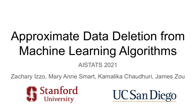# Approximate Data Deletion from Machine Learning Algorithms

### AISTATS 2021

Zachary Izzo, Mary Anne Smart, Kamalika Chaudhuri, James Zou



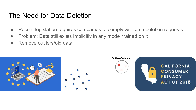### The Need for Data Deletion

- Recent legislation requires companies to comply with data deletion requests
- Problem: Data still exists implicitly in any model trained on it
- Remove outliers/old data

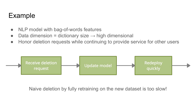# Example

- NLP model with bag-of-words features
- Data dimension = dictionary size  $\rightarrow$  high dimensional
- Honor deletion requests while continuing to provide service for other users



Naive deletion by fully retraining on the new dataset is too slow!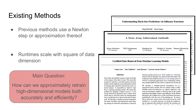# Existing Methods

**Previous methods use a Newton** step or approximation thereof

Runtimes scale with square of data dimension

#### Main Question:

How can we approximately retrain high-dimensional models both accurately and efficiently?

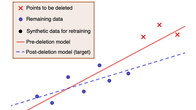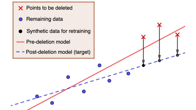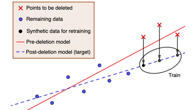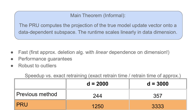Main Theorem (Informal):

The PRU computes the projection of the true model update vector onto a data-dependent subspace. The runtime scales linearly in data dimension.

- Fast (first approx. deletion alg. with *linear* dependence on dimension!)
- Performance quarantees
- Robust to outliers

Speedup vs. exact retraining (exact retrain time / retrain time of approx.)

|                 | $d = 2000$ | $d = 3000$ |
|-----------------|------------|------------|
| Previous method | 244        | 357        |
| <b>PRU</b>      | 1250       | 3333       |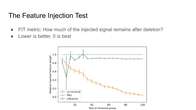### The Feature Injection Test

- FIT metric: How much of the injected signal remains after deletion?
- Lower is better, 0 is best